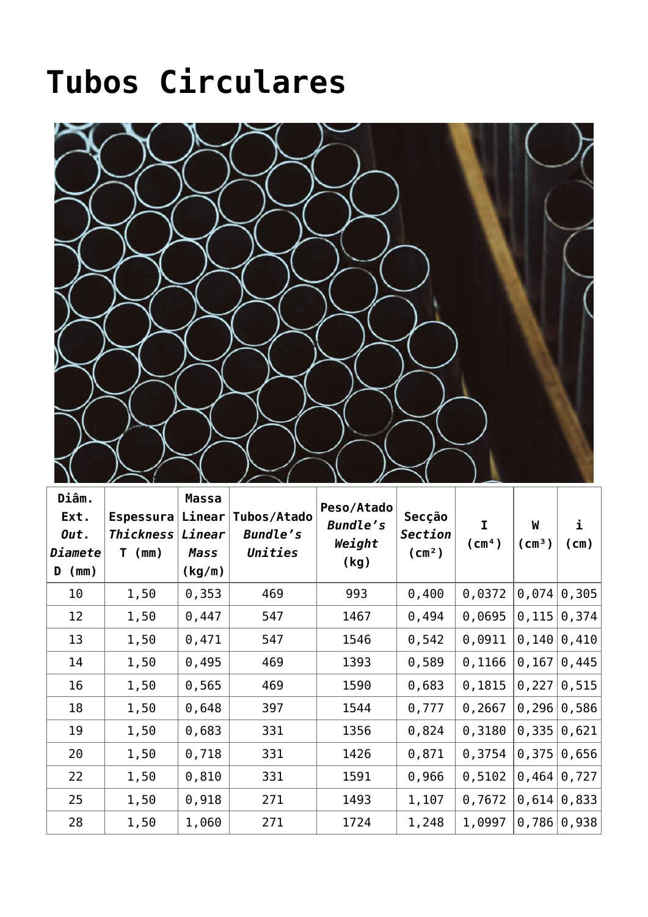## **[Tubos Circulares](https://lineve.pt/pt/prod/material-siderurgico/tubo-zincado/tubos-circulares-2/)**



| Diâm.<br>Ext.<br>Out.<br>Diamete<br>D<br>(mm) | Espessura Linear<br><b>Thickness</b><br>T (mm) | <b>Massa</b><br>Linear<br>Mass<br>(kg/m) | Tubos/Atado<br><b>Bundle's</b><br>Unities | Peso/Atado<br><b>Bundle's</b><br>Weight<br>(kg) | Secção<br><b>Section</b><br>(m <sup>2</sup> ) | I<br>$(\text{cm}^4)$ | W<br>$(\text{cm}^3)$ | i<br>(m) |
|-----------------------------------------------|------------------------------------------------|------------------------------------------|-------------------------------------------|-------------------------------------------------|-----------------------------------------------|----------------------|----------------------|----------|
| 10                                            | 1,50                                           | 0,353                                    | 469                                       | 993                                             | 0,400                                         | 0,0372               | 0,074                | 0,305    |
| 12                                            | 1,50                                           | 0,447                                    | 547                                       | 1467                                            | 0,494                                         | 0,0695               | 0,115                | 0,374    |
| 13                                            | 1,50                                           | 0,471                                    | 547                                       | 1546                                            | 0,542                                         | 0,0911               | 0,140                | 0,410    |
| 14                                            | 1,50                                           | 0,495                                    | 469                                       | 1393                                            | 0,589                                         | 0,1166               | 0,167                | 0,445    |
| 16                                            | 1,50                                           | 0,565                                    | 469                                       | 1590                                            | 0,683                                         | 0,1815               | 0,227                | 0,515    |
| 18                                            | 1,50                                           | 0,648                                    | 397                                       | 1544                                            | 0,777                                         | 0,2667               | 0,296                | 0,586    |
| 19                                            | 1,50                                           | 0,683                                    | 331                                       | 1356                                            | 0,824                                         | 0,3180               | 0,335                | 0,621    |
| 20                                            | 1,50                                           | 0,718                                    | 331                                       | 1426                                            | 0,871                                         | 0,3754               | 0,375                | 0,656    |
| 22                                            | 1,50                                           | 0,810                                    | 331                                       | 1591                                            | 0,966                                         | 0,5102               | 0,464                | 0,727    |
| 25                                            | 1,50                                           | 0,918                                    | 271                                       | 1493                                            | 1,107                                         | 0,7672               | 0,614                | 0,833    |
| 28                                            | 1,50                                           | 1,060                                    | 271                                       | 1724                                            | 1,248                                         | 1,0997               | 0,786                | 0,938    |